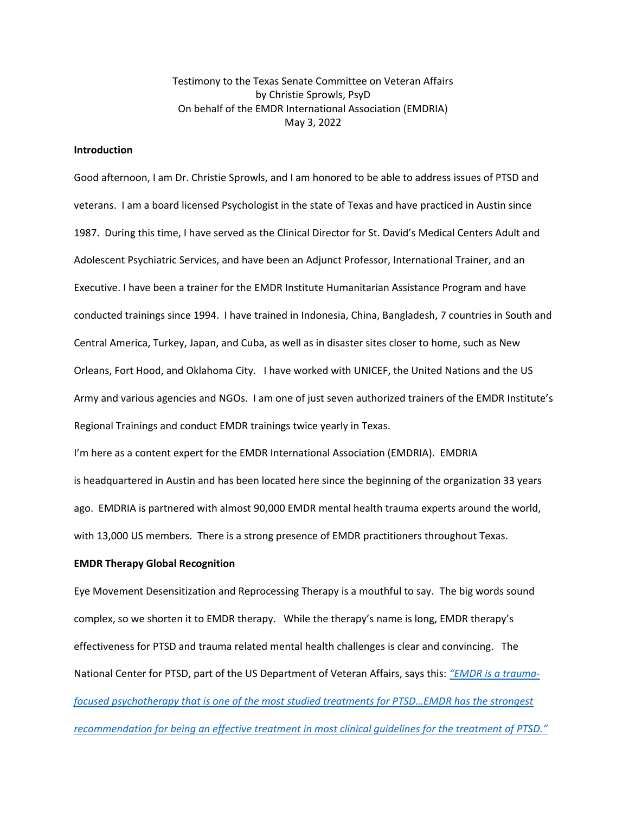Testimony to the Texas Senate Committee on Veteran Affairs by Christie Sprowls, PsyD On behalf of the EMDR International Association (EMDRIA) May 3, 2022

# **Introduction**

Good afternoon, I am Dr. Christie Sprowls, and I am honored to be able to address issues of PTSD and veterans. I am a board licensed Psychologist in the state of Texas and have practiced in Austin since 1987. During this time, I have served as the Clinical Director for St. David's Medical Centers Adult and Adolescent Psychiatric Services, and have been an Adjunct Professor, International Trainer, and an Executive. I have been a trainer for the EMDR Institute Humanitarian Assistance Program and have conducted trainings since 1994. I have trained in Indonesia, China, Bangladesh, 7 countries in South and Central America, Turkey, Japan, and Cuba, as well as in disaster sites closer to home, such as New Orleans, Fort Hood, and Oklahoma City. I have worked with UNICEF, the United Nations and the US Army and various agencies and NGOs. I am one of just seven authorized trainers of the EMDR Institute's Regional Trainings and conduct EMDR trainings twice yearly in Texas.

I'm here as a content expert for the EMDR International Association (EMDRIA). EMDRIA is headquartered in Austin and has been located here since the beginning of the organization 33 years ago. EMDRIA is partnered with almost 90,000 EMDR mental health trauma experts around the world, with 13,000 US members. There is a strong presence of EMDR practitioners throughout Texas.

## **EMDR Therapy Global Recognition**

Eye Movement Desensitization and Reprocessing Therapy is a mouthful to say. The big words sound complex, so we shorten it to EMDR therapy. While the therapy's name is long, EMDR therapy's effectiveness for PTSD and trauma related mental health challenges is clear and convincing. The National Center for PTSD, part of the US Department of Veteran Affairs, says this: *"[EMDR is a trauma](https://www.ptsd.va.gov/professional/treat/txessentials/emdr_pro.asp)focused psychotherapy that is [one of the most studied treatments for PTSD…EMDR has the strongest](https://www.ptsd.va.gov/professional/treat/txessentials/emdr_pro.asp)  recommendation for being an effective treatment [in most clinical guidelines for the treatment of PTSD.](https://www.ptsd.va.gov/professional/treat/txessentials/emdr_pro.asp)"*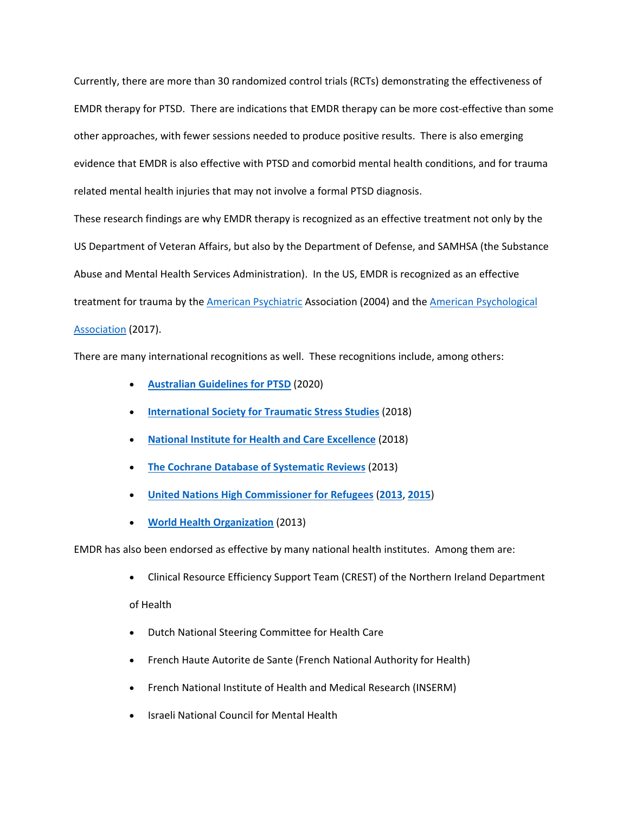Currently, there are more than 30 randomized control trials (RCTs) demonstrating the effectiveness of EMDR therapy for PTSD. There are indications that EMDR therapy can be more cost-effective than some other approaches, with fewer sessions needed to produce positive results. There is also emerging evidence that EMDR is also effective with PTSD and comorbid mental health conditions, and for trauma related mental health injuries that may not involve a formal PTSD diagnosis.

These research findings are why EMDR therapy is recognized as an effective treatment not only by the US Department of Veteran Affairs, but also by the Department of Defense, and SAMHSA (the Substance Abuse and Mental Health Services Administration). In the US, EMDR is recognized as an effective treatment for trauma by the [American Psychiatric](https://www.psychiatry.org/psychiatrists/practice/clinical-practice-guidelines) Association (2004) and the American Psychological [Association](https://www.apa.org/ptsd-guideline/ptsd.pdf) (2017).

There are many international recognitions as well. These recognitions include, among others:

- **[Australian Guidelines for PTSD](https://www.phoenixaustralia.org/australian-guidelines-for-ptsd/)** (2020)
- **[International Society for Traumatic Stress Studies](https://istss.org/clinical-resources/treating-trauma/new-istss-prevention-and-treatment-guidelines)** (2018)
- **[National Institute for Health and Care Excellence](https://www.nice.org.uk/guidance/ng116)** (2018)
- **[The Cochrane Database of Systematic Reviews](https://www.cochrane.org/CD003388/DEPRESSN_psychological-therapies-chronic-post-traumatic-stress-disorder-ptsd-adults)** (2013)
- **[United Nations High Commissioner for Refugees](https://www.unhcr.org/en-us/protection/health/525f94479/operational-guidance-mental-health-psychosocial-support-programming-refugee.html?query=EMDR)** (**[2013](https://www.unhcr.org/en-us/protection/health/537377329/assessment-management-conditions-specifically-related-stress-mhgap-module.html?query=EMDR)**, **[2015](https://www.unhcr.org/en-us/protection/health/5551b3fb4/clinical-management-mental-neurological-substance-use-conditions-humanitarian.html)**)
- **[World Health Organization](https://www.emdria.org/wp-content/uploads/2021/06/WHO.2013.Guidelines.for_.Management.of_.Conditions.of_.Stress.pdf)** (2013)

EMDR has also been endorsed as effective by many national health institutes. Among them are:

- Clinical Resource Efficiency Support Team (CREST) of the Northern Ireland Department of Health
- Dutch National Steering Committee for Health Care
- French Haute Autorite de Sante (French National Authority for Health)
- French National Institute of Health and Medical Research (INSERM)
- Israeli National Council for Mental Health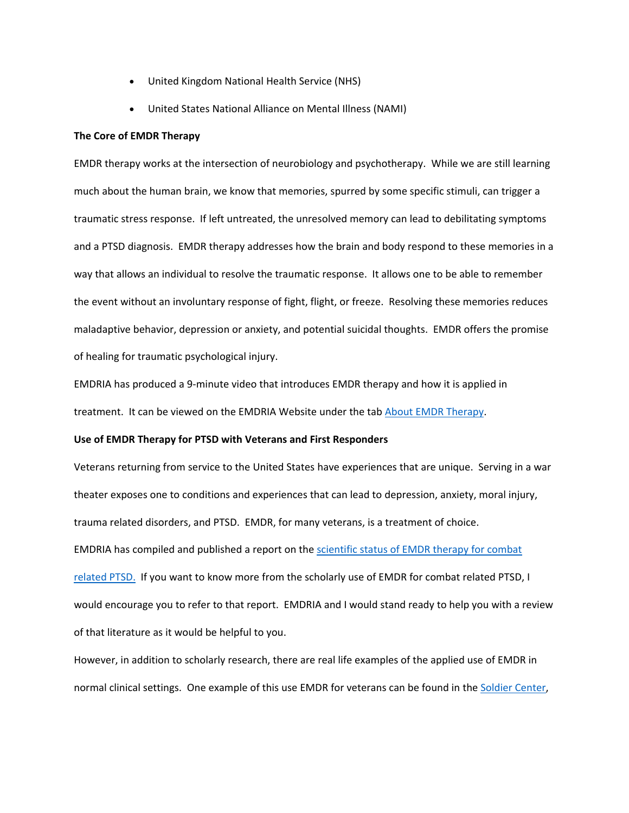- United Kingdom National Health Service (NHS)
- United States National Alliance on Mental Illness (NAMI)

#### **The Core of EMDR Therapy**

EMDR therapy works at the intersection of neurobiology and psychotherapy. While we are still learning much about the human brain, we know that memories, spurred by some specific stimuli, can trigger a traumatic stress response. If left untreated, the unresolved memory can lead to debilitating symptoms and a PTSD diagnosis. EMDR therapy addresses how the brain and body respond to these memories in a way that allows an individual to resolve the traumatic response. It allows one to be able to remember the event without an involuntary response of fight, flight, or freeze. Resolving these memories reduces maladaptive behavior, depression or anxiety, and potential suicidal thoughts. EMDR offers the promise of healing for traumatic psychological injury.

EMDRIA has produced a 9-minute video that introduces EMDR therapy and how it is applied in treatment. It can be viewed on the EMDRIA Website under the tab [About EMDR Therapy.](https://www.emdria.org/about-emdr-therapy/)

# **Use of EMDR Therapy for PTSD with Veterans and First Responders**

Veterans returning from service to the United States have experiences that are unique. Serving in a war theater exposes one to conditions and experiences that can lead to depression, anxiety, moral injury, trauma related disorders, and PTSD. EMDR, for many veterans, is a treatment of choice. EMDRIA has compiled and published a report on the [scientific status of EMDR therapy for combat](https://www.emdria.org/specialty-areas/ptsd-post-traumatic-stress-disorder/the-scientific-status-of-emdr-therapy-for-combat-related-ptsd/)  [related PTSD.](https://www.emdria.org/specialty-areas/ptsd-post-traumatic-stress-disorder/the-scientific-status-of-emdr-therapy-for-combat-related-ptsd/) If you want to know more from the scholarly use of EMDR for combat related PTSD, I would encourage you to refer to that report. EMDRIA and I would stand ready to help you with a review of that literature as it would be helpful to you.

However, in addition to scholarly research, there are real life examples of the applied use of EMDR in normal clinical settings. One example of this use EMDR for veterans can be found in the [Soldier Center,](https://www.soldier-center.com/index.html)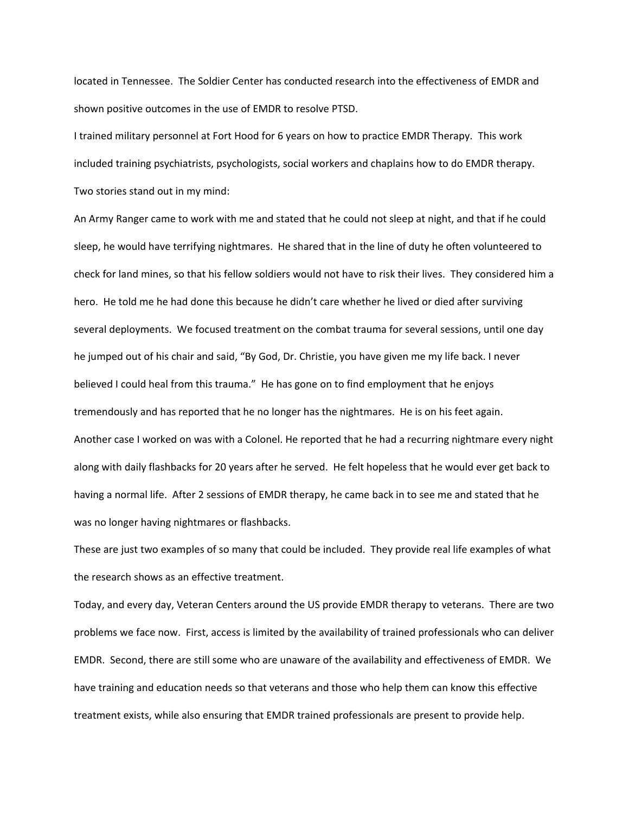located in Tennessee. The Soldier Center has conducted research into the effectiveness of EMDR and shown positive outcomes in the use of EMDR to resolve PTSD.

I trained military personnel at Fort Hood for 6 years on how to practice EMDR Therapy. This work included training psychiatrists, psychologists, social workers and chaplains how to do EMDR therapy. Two stories stand out in my mind:

An Army Ranger came to work with me and stated that he could not sleep at night, and that if he could sleep, he would have terrifying nightmares. He shared that in the line of duty he often volunteered to check for land mines, so that his fellow soldiers would not have to risk their lives. They considered him a hero. He told me he had done this because he didn't care whether he lived or died after surviving several deployments. We focused treatment on the combat trauma for several sessions, until one day he jumped out of his chair and said, "By God, Dr. Christie, you have given me my life back. I never believed I could heal from this trauma." He has gone on to find employment that he enjoys tremendously and has reported that he no longer has the nightmares. He is on his feet again. Another case I worked on was with a Colonel. He reported that he had a recurring nightmare every night along with daily flashbacks for 20 years after he served. He felt hopeless that he would ever get back to having a normal life. After 2 sessions of EMDR therapy, he came back in to see me and stated that he was no longer having nightmares or flashbacks.

These are just two examples of so many that could be included. They provide real life examples of what the research shows as an effective treatment.

Today, and every day, Veteran Centers around the US provide EMDR therapy to veterans. There are two problems we face now. First, access is limited by the availability of trained professionals who can deliver EMDR. Second, there are still some who are unaware of the availability and effectiveness of EMDR. We have training and education needs so that veterans and those who help them can know this effective treatment exists, while also ensuring that EMDR trained professionals are present to provide help.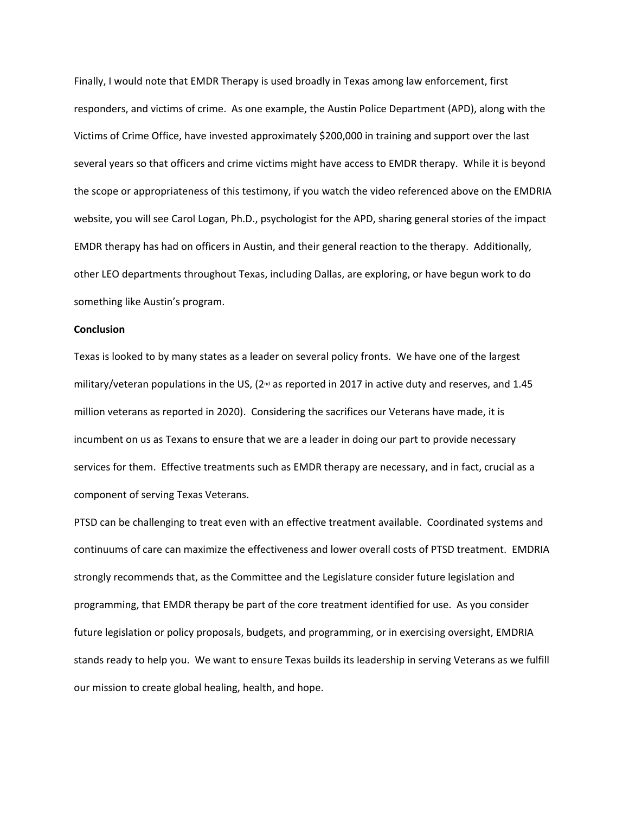Finally, I would note that EMDR Therapy is used broadly in Texas among law enforcement, first responders, and victims of crime. As one example, the Austin Police Department (APD), along with the Victims of Crime Office, have invested approximately \$200,000 in training and support over the last several years so that officers and crime victims might have access to EMDR therapy. While it is beyond the scope or appropriateness of this testimony, if you watch the video referenced above on the EMDRIA website, you will see Carol Logan, Ph.D., psychologist for the APD, sharing general stories of the impact EMDR therapy has had on officers in Austin, and their general reaction to the therapy. Additionally, other LEO departments throughout Texas, including Dallas, are exploring, or have begun work to do something like Austin's program.

## **Conclusion**

Texas is looked to by many states as a leader on several policy fronts. We have one of the largest military/veteran populations in the US,  $(2^{nd}$  as reported in 2017 in active duty and reserves, and 1.45 million veterans as reported in 2020). Considering the sacrifices our Veterans have made, it is incumbent on us as Texans to ensure that we are a leader in doing our part to provide necessary services for them. Effective treatments such as EMDR therapy are necessary, and in fact, crucial as a component of serving Texas Veterans.

PTSD can be challenging to treat even with an effective treatment available. Coordinated systems and continuums of care can maximize the effectiveness and lower overall costs of PTSD treatment. EMDRIA strongly recommends that, as the Committee and the Legislature consider future legislation and programming, that EMDR therapy be part of the core treatment identified for use. As you consider future legislation or policy proposals, budgets, and programming, or in exercising oversight, EMDRIA stands ready to help you. We want to ensure Texas builds its leadership in serving Veterans as we fulfill our mission to create global healing, health, and hope.